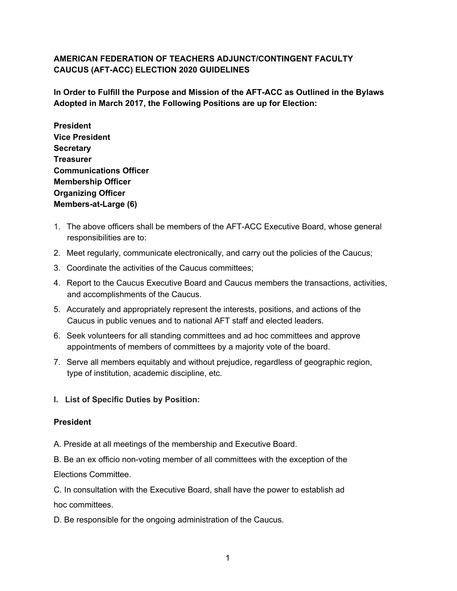## **AMERICAN FEDERATION OF TEACHERS ADJUNCT/CONTINGENT FACULTY CAUCUS (AFT-ACC) ELECTION 2020 GUIDELINES**

**In Order to Fulfill the Purpose and Mission of the AFT-ACC as Outlined in the Bylaws Adopted in March 2017, the Following Positions are up for Election:**

**President Vice President Secretary Treasurer Communications Officer Membership Officer Organizing Officer Members-at-Large (6)**

- 1. The above officers shall be members of the AFT-ACC Executive Board, whose general responsibilities are to:
- 2. Meet regularly, communicate electronically, and carry out the policies of the Caucus;
- 3. Coordinate the activities of the Caucus committees;
- 4. Report to the Caucus Executive Board and Caucus members the transactions, activities, and accomplishments of the Caucus.
- 5. Accurately and appropriately represent the interests, positions, and actions of the Caucus in public venues and to national AFT staff and elected leaders.
- 6. Seek volunteers for all standing committees and ad hoc committees and approve appointments of members of committees by a majority vote of the board.
- 7. Serve all members equitably and without prejudice, regardless of geographic region, type of institution, academic discipline, etc.

### **I. List of Specific Duties by Position:**

#### **President**

A. Preside at all meetings of the membership and Executive Board.

B. Be an ex officio non-voting member of all committees with the exception of the Elections Committee.

C. In consultation with the Executive Board, shall have the power to establish ad hoc committees.

D. Be responsible for the ongoing administration of the Caucus.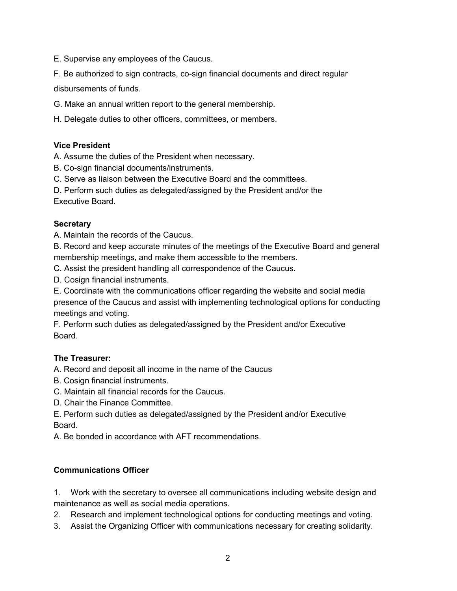E. Supervise any employees of the Caucus.

F. Be authorized to sign contracts, co-sign financial documents and direct regular disbursements of funds.

G. Make an annual written report to the general membership.

H. Delegate duties to other officers, committees, or members.

#### **Vice President**

A. Assume the duties of the President when necessary.

B. Co-sign financial documents/instruments.

C. Serve as liaison between the Executive Board and the committees.

D. Perform such duties as delegated/assigned by the President and/or the Executive Board.

#### **Secretary**

A. Maintain the records of the Caucus.

B. Record and keep accurate minutes of the meetings of the Executive Board and general membership meetings, and make them accessible to the members.

C. Assist the president handling all correspondence of the Caucus.

D. Cosign financial instruments.

E. Coordinate with the communications officer regarding the website and social media presence of the Caucus and assist with implementing technological options for conducting meetings and voting.

F. Perform such duties as delegated/assigned by the President and/or Executive Board.

### **The Treasurer:**

A. Record and deposit all income in the name of the Caucus

B. Cosign financial instruments.

C. Maintain all financial records for the Caucus.

D. Chair the Finance Committee.

E. Perform such duties as delegated/assigned by the President and/or Executive Board.

A. Be bonded in accordance with AFT recommendations.

### **Communications Officer**

1. Work with the secretary to oversee all communications including website design and maintenance as well as social media operations.

2. Research and implement technological options for conducting meetings and voting.

3. Assist the Organizing Officer with communications necessary for creating solidarity.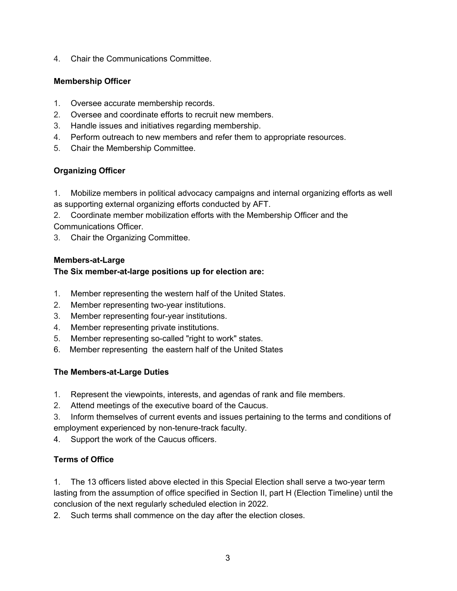4. Chair the Communications Committee.

#### **Membership Officer**

- 1. Oversee accurate membership records.
- 2. Oversee and coordinate efforts to recruit new members.
- 3. Handle issues and initiatives regarding membership.
- 4. Perform outreach to new members and refer them to appropriate resources.
- 5. Chair the Membership Committee.

## **Organizing Officer**

1. Mobilize members in political advocacy campaigns and internal organizing efforts as well as supporting external organizing efforts conducted by AFT.

2. Coordinate member mobilization efforts with the Membership Officer and the Communications Officer.

3. Chair the Organizing Committee.

#### **Members-at-Large**

#### **The Six member-at-large positions up for election are:**

- 1. Member representing the western half of the United States.
- 2. Member representing two-year institutions.
- 3. Member representing four-year institutions.
- 4. Member representing private institutions.
- 5. Member representing so-called "right to work" states.
- 6. Member representing the eastern half of the United States

#### **The Members-at-Large Duties**

- 1. Represent the viewpoints, interests, and agendas of rank and file members.
- 2. Attend meetings of the executive board of the Caucus.
- 3. Inform themselves of current events and issues pertaining to the terms and conditions of employment experienced by non-tenure-track faculty.
- 4. Support the work of the Caucus officers.

### **Terms of Office**

1. The 13 officers listed above elected in this Special Election shall serve a two-year term lasting from the assumption of office specified in Section II, part H (Election Timeline) until the conclusion of the next regularly scheduled election in 2022.

2. Such terms shall commence on the day after the election closes.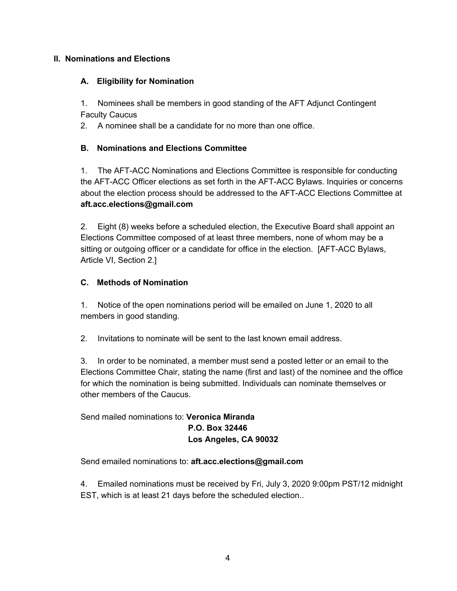#### **II. Nominations and Elections**

#### **A. Eligibility for Nomination**

1. Nominees shall be members in good standing of the AFT Adjunct Contingent Faculty Caucus

2. A nominee shall be a candidate for no more than one office.

#### **B. Nominations and Elections Committee**

1. The AFT-ACC Nominations and Elections Committee is responsible for conducting the AFT-ACC Officer elections as set forth in the AFT-ACC Bylaws. Inquiries or concerns about the election process should be addressed to the AFT-ACC Elections Committee at **aft.acc.elections@gmail.com**

2. Eight (8) weeks before a scheduled election, the Executive Board shall appoint an Elections Committee composed of at least three members, none of whom may be a sitting or outgoing officer or a candidate for office in the election. [AFT-ACC Bylaws, Article VI, Section 2.]

### **C. Methods of Nomination**

1. Notice of the open nominations period will be emailed on June 1, 2020 to all members in good standing.

2. Invitations to nominate will be sent to the last known email address.

3. In order to be nominated, a member must send a posted letter or an email to the Elections Committee Chair, stating the name (first and last) of the nominee and the office for which the nomination is being submitted. Individuals can nominate themselves or other members of the Caucus.

## Send mailed nominations to: **Veronica Miranda P.O. Box 32446 Los Angeles, CA 90032**

Send emailed nominations to: **aft.acc.elections@gmail.com**

4. Emailed nominations must be received by Fri, July 3, 2020 9:00pm PST/12 midnight EST, which is at least 21 days before the scheduled election..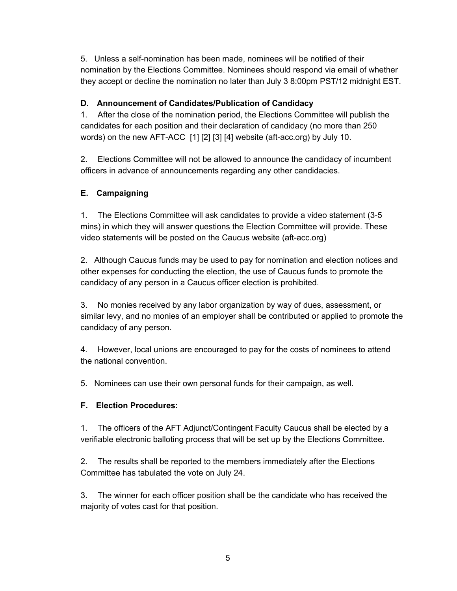5. Unless a self-nomination has been made, nominees will be notified of their nomination by the Elections Committee. Nominees should respond via email of whether they accept or decline the nomination no later than July 3 8:00pm PST/12 midnight EST.

## **D. Announcement of Candidates/Publication of Candidacy**

1. After the close of the nomination period, the Elections Committee will publish the candidates for each position and their declaration of candidacy (no more than 250 words) on the new AFT-ACC [1] [2] [3] [4] website (aft-acc.org) by July 10.

2. Elections Committee will not be allowed to announce the candidacy of incumbent officers in advance of announcements regarding any other candidacies.

# **E. Campaigning**

1. The Elections Committee will ask candidates to provide a video statement (3-5 mins) in which they will answer questions the Election Committee will provide. These video statements will be posted on the Caucus website (aft-acc.org)

2. Although Caucus funds may be used to pay for nomination and election notices and other expenses for conducting the election, the use of Caucus funds to promote the candidacy of any person in a Caucus officer election is prohibited.

3. No monies received by any labor organization by way of dues, assessment, or similar levy, and no monies of an employer shall be contributed or applied to promote the candidacy of any person.

4. However, local unions are encouraged to pay for the costs of nominees to attend the national convention.

5. Nominees can use their own personal funds for their campaign, as well.

# **F. Election Procedures:**

1. The officers of the AFT Adjunct/Contingent Faculty Caucus shall be elected by a verifiable electronic balloting process that will be set up by the Elections Committee.

2. The results shall be reported to the members immediately after the Elections Committee has tabulated the vote on July 24.

3. The winner for each officer position shall be the candidate who has received the majority of votes cast for that position.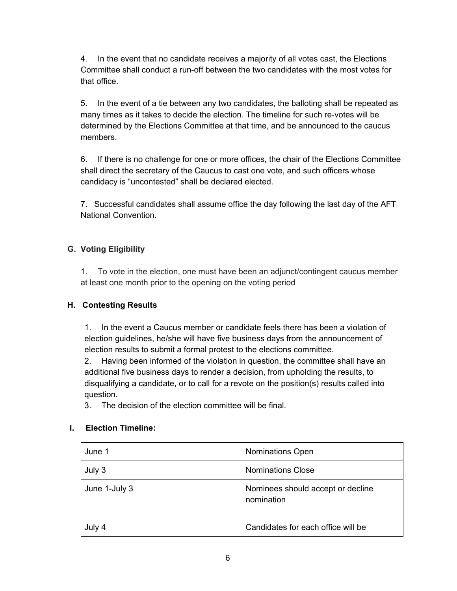4. In the event that no candidate receives a majority of all votes cast, the Elections Committee shall conduct a run-off between the two candidates with the most votes for that office.

5. In the event of a tie between any two candidates, the balloting shall be repeated as many times as it takes to decide the election. The timeline for such re-votes will be determined by the Elections Committee at that time, and be announced to the caucus members.

6. If there is no challenge for one or more offices, the chair of the Elections Committee shall direct the secretary of the Caucus to cast one vote, and such officers whose candidacy is "uncontested" shall be declared elected.

7. Successful candidates shall assume office the day following the last day of the AFT National Convention.

# **G. Voting Eligibility**

1. To vote in the election, one must have been an adjunct/contingent caucus member at least one month prior to the opening on the voting period

# **H. Contesting Results**

1. In the event a Caucus member or candidate feels there has been a violation of election guidelines, he/she will have five business days from the announcement of election results to submit a formal protest to the elections committee.

2. Having been informed of the violation in question, the committee shall have an additional five business days to render a decision, from upholding the results, to disqualifying a candidate, or to call for a revote on the position(s) results called into question.

3. The decision of the election committee will be final.

# **I. Election Timeline:**

| June 1        | <b>Nominations Open</b>                         |
|---------------|-------------------------------------------------|
| July 3        | <b>Nominations Close</b>                        |
| June 1-July 3 | Nominees should accept or decline<br>nomination |
| July 4        | Candidates for each office will be              |